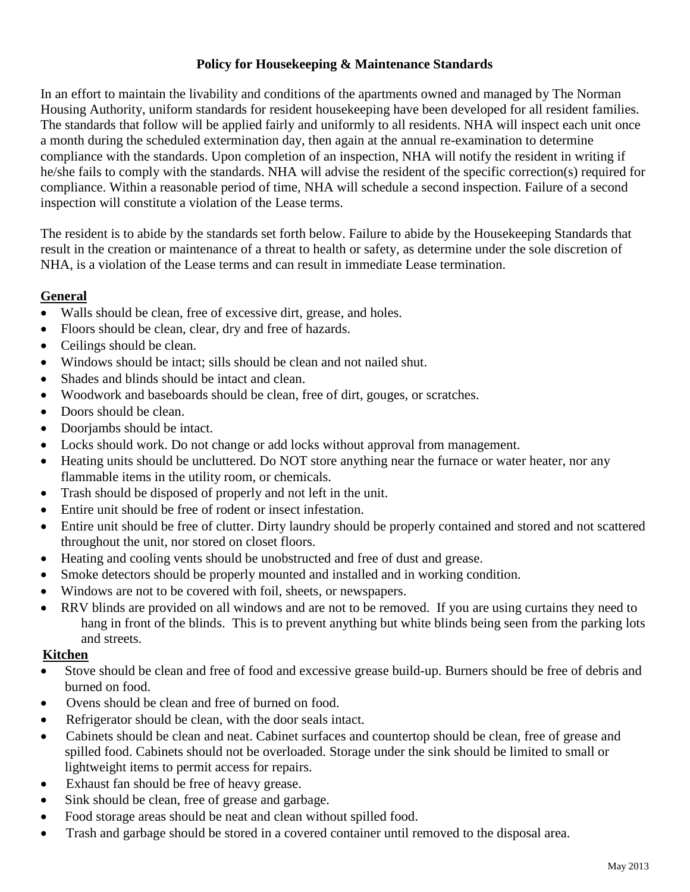# **Policy for Housekeeping & Maintenance Standards**

In an effort to maintain the livability and conditions of the apartments owned and managed by The Norman Housing Authority, uniform standards for resident housekeeping have been developed for all resident families. The standards that follow will be applied fairly and uniformly to all residents. NHA will inspect each unit once a month during the scheduled extermination day, then again at the annual re-examination to determine compliance with the standards. Upon completion of an inspection, NHA will notify the resident in writing if he/she fails to comply with the standards. NHA will advise the resident of the specific correction(s) required for compliance. Within a reasonable period of time, NHA will schedule a second inspection. Failure of a second inspection will constitute a violation of the Lease terms.

The resident is to abide by the standards set forth below. Failure to abide by the Housekeeping Standards that result in the creation or maintenance of a threat to health or safety, as determine under the sole discretion of NHA, is a violation of the Lease terms and can result in immediate Lease termination.

## **General**

- Walls should be clean, free of excessive dirt, grease, and holes.
- Floors should be clean, clear, dry and free of hazards.
- Ceilings should be clean.
- Windows should be intact: sills should be clean and not nailed shut.
- Shades and blinds should be intact and clean.
- Woodwork and baseboards should be clean, free of dirt, gouges, or scratches.
- Doors should be clean.
- Doorjambs should be intact.
- Locks should work. Do not change or add locks without approval from management.
- Heating units should be uncluttered. Do NOT store anything near the furnace or water heater, nor any flammable items in the utility room, or chemicals.
- Trash should be disposed of properly and not left in the unit.
- Entire unit should be free of rodent or insect infestation.
- Entire unit should be free of clutter. Dirty laundry should be properly contained and stored and not scattered throughout the unit, nor stored on closet floors.
- Heating and cooling vents should be unobstructed and free of dust and grease.
- Smoke detectors should be properly mounted and installed and in working condition.
- Windows are not to be covered with foil, sheets, or newspapers.
- RRV blinds are provided on all windows and are not to be removed. If you are using curtains they need to hang in front of the blinds. This is to prevent anything but white blinds being seen from the parking lots and streets.

### **Kitchen**

- Stove should be clean and free of food and excessive grease build-up. Burners should be free of debris and burned on food.
- Ovens should be clean and free of burned on food.
- Refrigerator should be clean, with the door seals intact.
- Cabinets should be clean and neat. Cabinet surfaces and countertop should be clean, free of grease and spilled food. Cabinets should not be overloaded. Storage under the sink should be limited to small or lightweight items to permit access for repairs.
- Exhaust fan should be free of heavy grease.
- Sink should be clean, free of grease and garbage.
- Food storage areas should be neat and clean without spilled food.
- Trash and garbage should be stored in a covered container until removed to the disposal area.